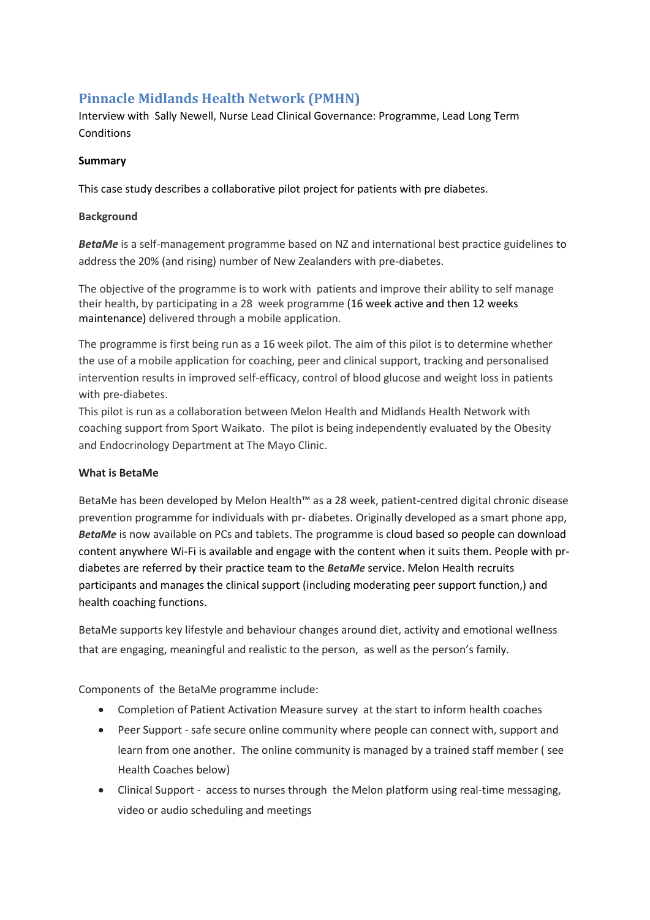# **Pinnacle Midlands Health Network (PMHN)**

Interview with Sally Newell, Nurse Lead Clinical Governance: Programme, Lead Long Term Conditions

### **Summary**

This case study describes a collaborative pilot project for patients with pre diabetes.

#### **Background**

**BetaMe** is a self-management programme based on NZ and international best practice guidelines to address the 20% (and rising) number of New Zealanders with pre-diabetes.

The objective of the programme is to work with patients and improve their ability to self manage their health, by participating in a 28 week programme (16 week active and then 12 weeks maintenance) delivered through a mobile application.

The programme is first being run as a 16 week pilot. The aim of this pilot is to determine whether the use of a mobile application for coaching, peer and clinical support, tracking and personalised intervention results in improved self-efficacy, control of blood glucose and weight loss in patients with pre-diabetes.

This pilot is run as a collaboration between Melon Health and Midlands Health Network with coaching support from Sport Waikato. The pilot is being independently evaluated by the Obesity and Endocrinology Department at The Mayo Clinic.

### **What is BetaMe**

BetaMe has been developed by Melon Health™ as a 28 week, patient-centred digital chronic disease prevention programme for individuals with pr- diabetes. Originally developed as a smart phone app, *BetaMe* is now available on PCs and tablets. The programme is cloud based so people can download content anywhere Wi-Fi is available and engage with the content when it suits them. People with prdiabetes are referred by their practice team to the *BetaMe* service. Melon Health recruits participants and manages the clinical support (including moderating peer support function,) and health coaching functions.

BetaMe supports key lifestyle and behaviour changes around diet, activity and emotional wellness that are engaging, meaningful and realistic to the person, as well as the person's family.

Components of the BetaMe programme include:

- Completion of Patient Activation Measure survey at the start to inform health coaches
- Peer Support safe secure online community where people can connect with, support and learn from one another. The online community is managed by a trained staff member ( see Health Coaches below)
- Clinical Support access to nurses through the Melon platform using real-time messaging, video or audio scheduling and meetings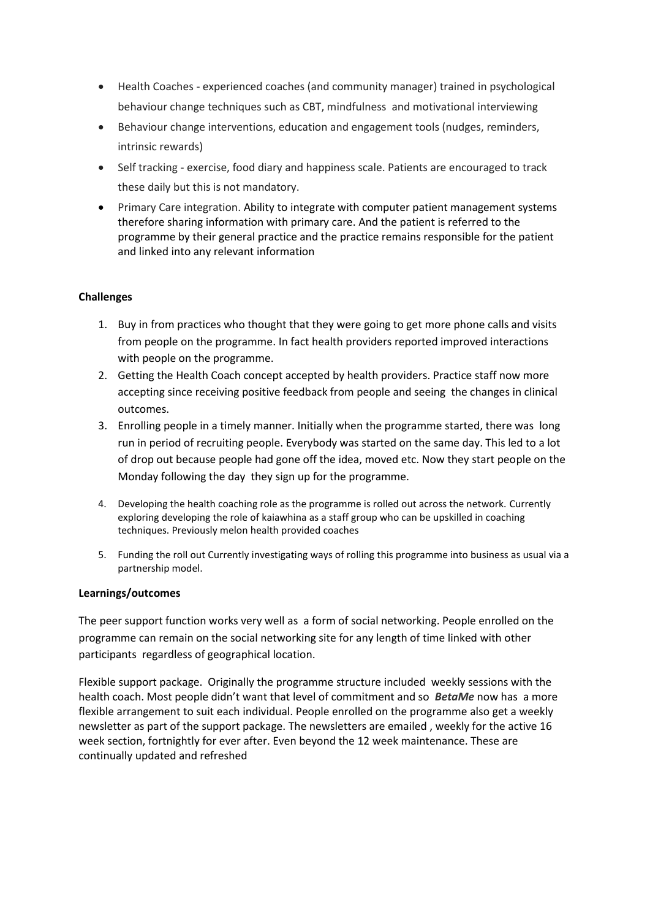- Health Coaches experienced coaches (and community manager) trained in psychological behaviour change techniques such as CBT, mindfulness and motivational interviewing
- Behaviour change interventions, education and engagement tools (nudges, reminders, intrinsic rewards)
- Self tracking exercise, food diary and happiness scale. Patients are encouraged to track these daily but this is not mandatory.
- Primary Care integration. Ability to integrate with computer patient management systems therefore sharing information with primary care. And the patient is referred to the programme by their general practice and the practice remains responsible for the patient and linked into any relevant information

### **Challenges**

- 1. Buy in from practices who thought that they were going to get more phone calls and visits from people on the programme. In fact health providers reported improved interactions with people on the programme.
- 2. Getting the Health Coach concept accepted by health providers. Practice staff now more accepting since receiving positive feedback from people and seeing the changes in clinical outcomes.
- 3. Enrolling people in a timely manner. Initially when the programme started, there was long run in period of recruiting people. Everybody was started on the same day. This led to a lot of drop out because people had gone off the idea, moved etc. Now they start people on the Monday following the day they sign up for the programme.
- 4. Developing the health coaching role as the programme is rolled out across the network. Currently exploring developing the role of kaiawhina as a staff group who can be upskilled in coaching techniques. Previously melon health provided coaches
- 5. Funding the roll out Currently investigating ways of rolling this programme into business as usual via a partnership model.

### **Learnings/outcomes**

The peer support function works very well as a form of social networking. People enrolled on the programme can remain on the social networking site for any length of time linked with other participants regardless of geographical location.

Flexible support package. Originally the programme structure included weekly sessions with the health coach. Most people didn't want that level of commitment and so *BetaMe* now has a more flexible arrangement to suit each individual. People enrolled on the programme also get a weekly newsletter as part of the support package. The newsletters are emailed , weekly for the active 16 week section, fortnightly for ever after. Even beyond the 12 week maintenance. These are continually updated and refreshed